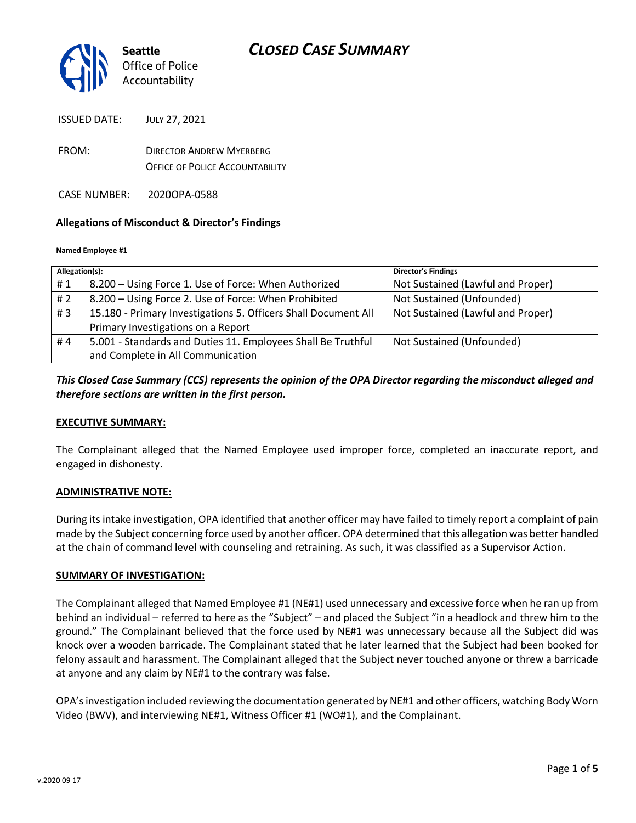

ISSUED DATE: JULY 27, 2021

FROM: DIRECTOR ANDREW MYERBERG OFFICE OF POLICE ACCOUNTABILITY

CASE NUMBER: 2020OPA-0588

### **Allegations of Misconduct & Director's Findings**

#### **Named Employee #1**

| Allegation(s): |                                                                | <b>Director's Findings</b>        |
|----------------|----------------------------------------------------------------|-----------------------------------|
| #1             | 8.200 – Using Force 1. Use of Force: When Authorized           | Not Sustained (Lawful and Proper) |
| #2             | 8.200 – Using Force 2. Use of Force: When Prohibited           | Not Sustained (Unfounded)         |
| #3             | 15.180 - Primary Investigations 5. Officers Shall Document All | Not Sustained (Lawful and Proper) |
|                | Primary Investigations on a Report                             |                                   |
| #4             | 5.001 - Standards and Duties 11. Employees Shall Be Truthful   | Not Sustained (Unfounded)         |
|                | and Complete in All Communication                              |                                   |

### *This Closed Case Summary (CCS) represents the opinion of the OPA Director regarding the misconduct alleged and therefore sections are written in the first person.*

### **EXECUTIVE SUMMARY:**

The Complainant alleged that the Named Employee used improper force, completed an inaccurate report, and engaged in dishonesty.

#### **ADMINISTRATIVE NOTE:**

During its intake investigation, OPA identified that another officer may have failed to timely report a complaint of pain made by the Subject concerning force used by another officer. OPA determined that this allegation was better handled at the chain of command level with counseling and retraining. As such, it was classified as a Supervisor Action.

#### **SUMMARY OF INVESTIGATION:**

The Complainant alleged that Named Employee #1 (NE#1) used unnecessary and excessive force when he ran up from behind an individual – referred to here as the "Subject" – and placed the Subject "in a headlock and threw him to the ground." The Complainant believed that the force used by NE#1 was unnecessary because all the Subject did was knock over a wooden barricade. The Complainant stated that he later learned that the Subject had been booked for felony assault and harassment. The Complainant alleged that the Subject never touched anyone or threw a barricade at anyone and any claim by NE#1 to the contrary was false.

OPA's investigation included reviewing the documentation generated by NE#1 and other officers, watching Body Worn Video (BWV), and interviewing NE#1, Witness Officer #1 (WO#1), and the Complainant.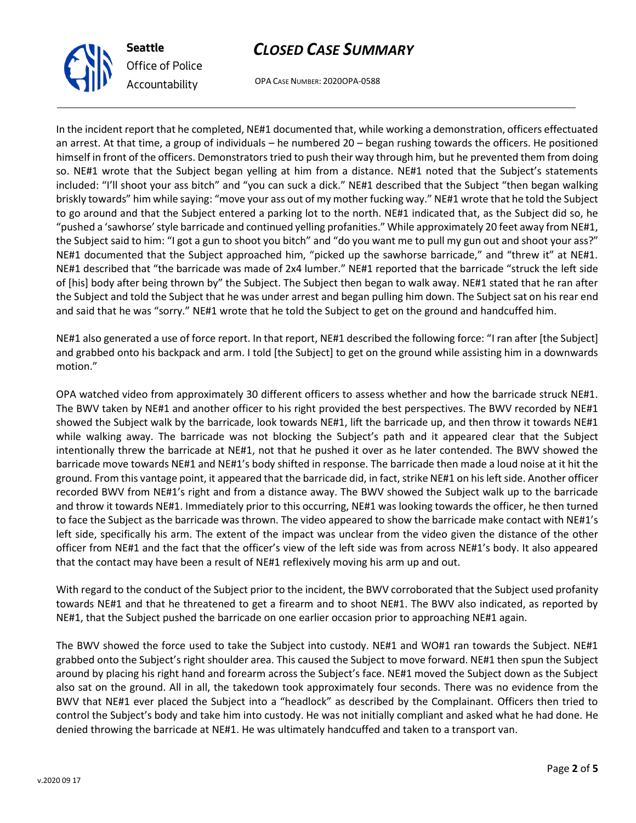



OPA CASE NUMBER: 2020OPA-0588

In the incident report that he completed, NE#1 documented that, while working a demonstration, officers effectuated an arrest. At that time, a group of individuals – he numbered 20 – began rushing towards the officers. He positioned himself in front of the officers. Demonstrators tried to push their way through him, but he prevented them from doing so. NE#1 wrote that the Subject began yelling at him from a distance. NE#1 noted that the Subject's statements included: "I'll shoot your ass bitch" and "you can suck a dick." NE#1 described that the Subject "then began walking briskly towards" him while saying: "move your ass out of my mother fucking way." NE#1 wrote that he told the Subject to go around and that the Subject entered a parking lot to the north. NE#1 indicated that, as the Subject did so, he "pushed a 'sawhorse' style barricade and continued yelling profanities." While approximately 20 feet away from NE#1, the Subject said to him: "I got a gun to shoot you bitch" and "do you want me to pull my gun out and shoot your ass?" NE#1 documented that the Subject approached him, "picked up the sawhorse barricade," and "threw it" at NE#1. NE#1 described that "the barricade was made of 2x4 lumber." NE#1 reported that the barricade "struck the left side of [his] body after being thrown by" the Subject. The Subject then began to walk away. NE#1 stated that he ran after the Subject and told the Subject that he was under arrest and began pulling him down. The Subject sat on his rear end and said that he was "sorry." NE#1 wrote that he told the Subject to get on the ground and handcuffed him.

NE#1 also generated a use of force report. In that report, NE#1 described the following force: "I ran after [the Subject] and grabbed onto his backpack and arm. I told [the Subject] to get on the ground while assisting him in a downwards motion."

OPA watched video from approximately 30 different officers to assess whether and how the barricade struck NE#1. The BWV taken by NE#1 and another officer to his right provided the best perspectives. The BWV recorded by NE#1 showed the Subject walk by the barricade, look towards NE#1, lift the barricade up, and then throw it towards NE#1 while walking away. The barricade was not blocking the Subject's path and it appeared clear that the Subject intentionally threw the barricade at NE#1, not that he pushed it over as he later contended. The BWV showed the barricade move towards NE#1 and NE#1's body shifted in response. The barricade then made a loud noise at it hit the ground. From this vantage point, it appeared that the barricade did, in fact, strike NE#1 on his left side. Another officer recorded BWV from NE#1's right and from a distance away. The BWV showed the Subject walk up to the barricade and throw it towards NE#1. Immediately prior to this occurring, NE#1 was looking towards the officer, he then turned to face the Subject as the barricade was thrown. The video appeared to show the barricade make contact with NE#1's left side, specifically his arm. The extent of the impact was unclear from the video given the distance of the other officer from NE#1 and the fact that the officer's view of the left side was from across NE#1's body. It also appeared that the contact may have been a result of NE#1 reflexively moving his arm up and out.

With regard to the conduct of the Subject prior to the incident, the BWV corroborated that the Subject used profanity towards NE#1 and that he threatened to get a firearm and to shoot NE#1. The BWV also indicated, as reported by NE#1, that the Subject pushed the barricade on one earlier occasion prior to approaching NE#1 again.

The BWV showed the force used to take the Subject into custody. NE#1 and WO#1 ran towards the Subject. NE#1 grabbed onto the Subject's right shoulder area. This caused the Subject to move forward. NE#1 then spun the Subject around by placing his right hand and forearm across the Subject's face. NE#1 moved the Subject down as the Subject also sat on the ground. All in all, the takedown took approximately four seconds. There was no evidence from the BWV that NE#1 ever placed the Subject into a "headlock" as described by the Complainant. Officers then tried to control the Subject's body and take him into custody. He was not initially compliant and asked what he had done. He denied throwing the barricade at NE#1. He was ultimately handcuffed and taken to a transport van.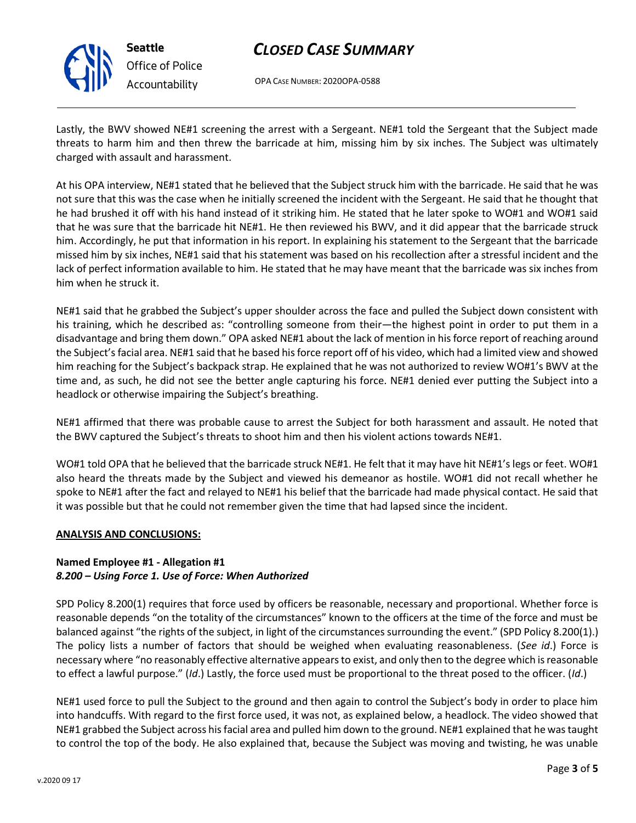

**Seattle** *Office of Police Accountability*

# *CLOSED CASE SUMMARY*

OPA CASE NUMBER: 2020OPA-0588

Lastly, the BWV showed NE#1 screening the arrest with a Sergeant. NE#1 told the Sergeant that the Subject made threats to harm him and then threw the barricade at him, missing him by six inches. The Subject was ultimately charged with assault and harassment.

At his OPA interview, NE#1 stated that he believed that the Subject struck him with the barricade. He said that he was not sure that this was the case when he initially screened the incident with the Sergeant. He said that he thought that he had brushed it off with his hand instead of it striking him. He stated that he later spoke to WO#1 and WO#1 said that he was sure that the barricade hit NE#1. He then reviewed his BWV, and it did appear that the barricade struck him. Accordingly, he put that information in his report. In explaining his statement to the Sergeant that the barricade missed him by six inches, NE#1 said that his statement was based on his recollection after a stressful incident and the lack of perfect information available to him. He stated that he may have meant that the barricade was six inches from him when he struck it.

NE#1 said that he grabbed the Subject's upper shoulder across the face and pulled the Subject down consistent with his training, which he described as: "controlling someone from their—the highest point in order to put them in a disadvantage and bring them down." OPA asked NE#1 about the lack of mention in his force report of reaching around the Subject's facial area. NE#1 said that he based his force report off of his video, which had a limited view and showed him reaching for the Subject's backpack strap. He explained that he was not authorized to review WO#1's BWV at the time and, as such, he did not see the better angle capturing his force. NE#1 denied ever putting the Subject into a headlock or otherwise impairing the Subject's breathing.

NE#1 affirmed that there was probable cause to arrest the Subject for both harassment and assault. He noted that the BWV captured the Subject's threats to shoot him and then his violent actions towards NE#1.

WO#1 told OPA that he believed that the barricade struck NE#1. He felt that it may have hit NE#1's legs or feet. WO#1 also heard the threats made by the Subject and viewed his demeanor as hostile. WO#1 did not recall whether he spoke to NE#1 after the fact and relayed to NE#1 his belief that the barricade had made physical contact. He said that it was possible but that he could not remember given the time that had lapsed since the incident.

# **ANALYSIS AND CONCLUSIONS:**

### **Named Employee #1 - Allegation #1** *8.200 – Using Force 1. Use of Force: When Authorized*

SPD Policy 8.200(1) requires that force used by officers be reasonable, necessary and proportional. Whether force is reasonable depends "on the totality of the circumstances" known to the officers at the time of the force and must be balanced against "the rights of the subject, in light of the circumstances surrounding the event." (SPD Policy 8.200(1).) The policy lists a number of factors that should be weighed when evaluating reasonableness. (*See id*.) Force is necessary where "no reasonably effective alternative appears to exist, and only then to the degree which is reasonable to effect a lawful purpose." (*Id*.) Lastly, the force used must be proportional to the threat posed to the officer. (*Id*.)

NE#1 used force to pull the Subject to the ground and then again to control the Subject's body in order to place him into handcuffs. With regard to the first force used, it was not, as explained below, a headlock. The video showed that NE#1 grabbed the Subject across his facial area and pulled him down to the ground. NE#1 explained that he was taught to control the top of the body. He also explained that, because the Subject was moving and twisting, he was unable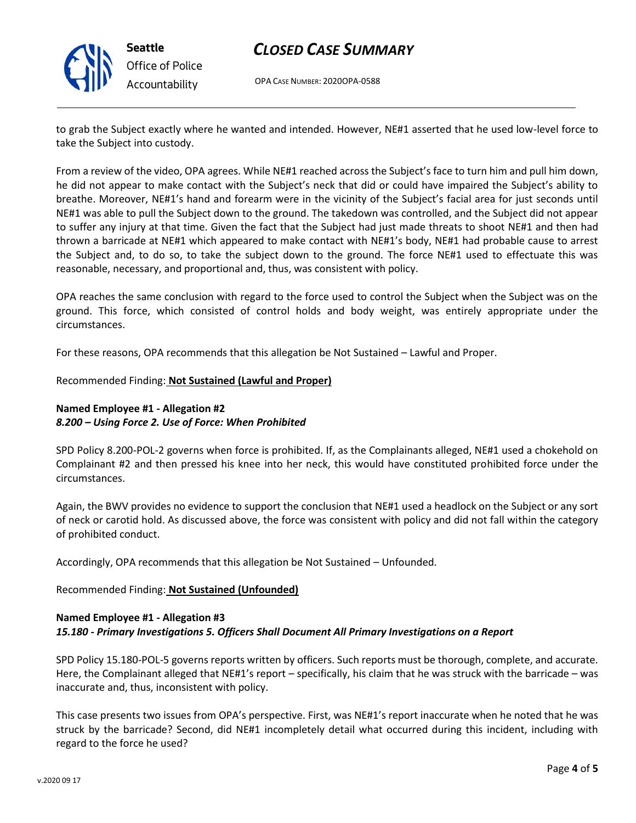

**Seattle** *Office of Police Accountability*

# *CLOSED CASE SUMMARY*

OPA CASE NUMBER: 2020OPA-0588

to grab the Subject exactly where he wanted and intended. However, NE#1 asserted that he used low-level force to take the Subject into custody.

From a review of the video, OPA agrees. While NE#1 reached across the Subject's face to turn him and pull him down, he did not appear to make contact with the Subject's neck that did or could have impaired the Subject's ability to breathe. Moreover, NE#1's hand and forearm were in the vicinity of the Subject's facial area for just seconds until NE#1 was able to pull the Subject down to the ground. The takedown was controlled, and the Subject did not appear to suffer any injury at that time. Given the fact that the Subject had just made threats to shoot NE#1 and then had thrown a barricade at NE#1 which appeared to make contact with NE#1's body, NE#1 had probable cause to arrest the Subject and, to do so, to take the subject down to the ground. The force NE#1 used to effectuate this was reasonable, necessary, and proportional and, thus, was consistent with policy.

OPA reaches the same conclusion with regard to the force used to control the Subject when the Subject was on the ground. This force, which consisted of control holds and body weight, was entirely appropriate under the circumstances.

For these reasons, OPA recommends that this allegation be Not Sustained – Lawful and Proper.

### Recommended Finding: **Not Sustained (Lawful and Proper)**

# **Named Employee #1 - Allegation #2** *8.200 – Using Force 2. Use of Force: When Prohibited*

SPD Policy 8.200-POL-2 governs when force is prohibited. If, as the Complainants alleged, NE#1 used a chokehold on Complainant #2 and then pressed his knee into her neck, this would have constituted prohibited force under the circumstances.

Again, the BWV provides no evidence to support the conclusion that NE#1 used a headlock on the Subject or any sort of neck or carotid hold. As discussed above, the force was consistent with policy and did not fall within the category of prohibited conduct.

Accordingly, OPA recommends that this allegation be Not Sustained – Unfounded.

# Recommended Finding: **Not Sustained (Unfounded)**

### **Named Employee #1 - Allegation #3** *15.180 - Primary Investigations 5. Officers Shall Document All Primary Investigations on a Report*

SPD Policy 15.180-POL-5 governs reports written by officers. Such reports must be thorough, complete, and accurate. Here, the Complainant alleged that NE#1's report – specifically, his claim that he was struck with the barricade – was inaccurate and, thus, inconsistent with policy.

This case presents two issues from OPA's perspective. First, was NE#1's report inaccurate when he noted that he was struck by the barricade? Second, did NE#1 incompletely detail what occurred during this incident, including with regard to the force he used?